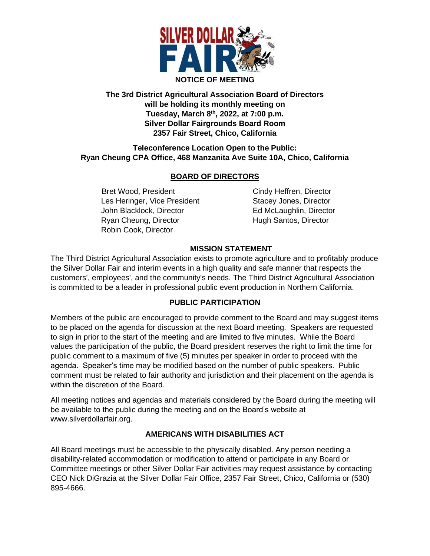

### **The 3rd District Agricultural Association Board of Directors will be holding its monthly meeting on Tuesday, March 8 th , 2022, at 7:00 p.m. Silver Dollar Fairgrounds Board Room 2357 Fair Street, Chico, California**

### **Teleconference Location Open to the Public: Ryan Cheung CPA Office, 468 Manzanita Ave Suite 10A, Chico, California**

# **BOARD OF DIRECTORS**

Bret Wood, President Cindy Heffren, Director Les Heringer, Vice President Stacey Jones, Director John Blacklock, Director **Ed McLaughlin, Director** Ryan Cheung, Director **Hugh Santos, Director** Robin Cook, Director

# **MISSION STATEMENT**

The Third District Agricultural Association exists to promote agriculture and to profitably produce the Silver Dollar Fair and interim events in a high quality and safe manner that respects the customers', employees', and the community's needs. The Third District Agricultural Association is committed to be a leader in professional public event production in Northern California.

# **PUBLIC PARTICIPATION**

Members of the public are encouraged to provide comment to the Board and may suggest items to be placed on the agenda for discussion at the next Board meeting. Speakers are requested to sign in prior to the start of the meeting and are limited to five minutes. While the Board values the participation of the public, the Board president reserves the right to limit the time for public comment to a maximum of five (5) minutes per speaker in order to proceed with the agenda. Speaker's time may be modified based on the number of public speakers. Public comment must be related to fair authority and jurisdiction and their placement on the agenda is within the discretion of the Board.

All meeting notices and agendas and materials considered by the Board during the meeting will be available to the public during the meeting and on the Board's website at www.silverdollarfair.org.

# **AMERICANS WITH DISABILITIES ACT**

All Board meetings must be accessible to the physically disabled. Any person needing a disability-related accommodation or modification to attend or participate in any Board or Committee meetings or other Silver Dollar Fair activities may request assistance by contacting CEO Nick DiGrazia at the Silver Dollar Fair Office, 2357 Fair Street, Chico, California or (530) 895-4666.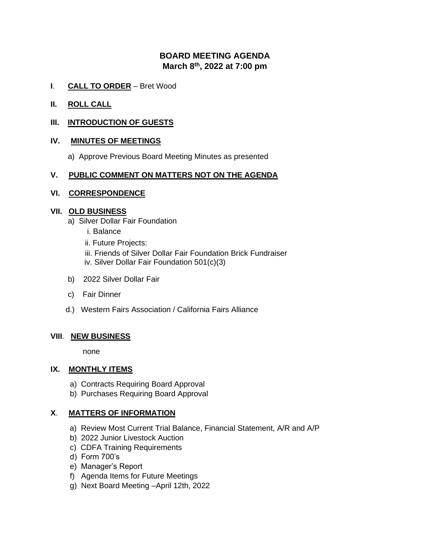# **BOARD MEETING AGENDA March 8 th , 2022 at 7:00 pm**

- **I**. **CALL TO ORDER** Bret Wood
- **II. ROLL CALL**

### **III. INTRODUCTION OF GUESTS**

#### **IV. MINUTES OF MEETINGS**

a) Approve Previous Board Meeting Minutes as presented

#### **V. PUBLIC COMMENT ON MATTERS NOT ON THE AGENDA**

#### **VI. CORRESPONDENCE**

#### **VII. OLD BUSINESS**

- a) Silver Dollar Fair Foundation
	- i. Balance
	- ii. Future Projects:
	- iii. Friends of Silver Dollar Fair Foundation Brick Fundraiser
	- iv. Silver Dollar Fair Foundation 501(c)(3)
- b) 2022 Silver Dollar Fair
- c) Fair Dinner
- d.) Western Fairs Association / California Fairs Alliance

### **VIII**. **NEW BUSINESS**

none

### **IX. MONTHLY ITEMS**

- a) Contracts Requiring Board Approval
- b) Purchases Requiring Board Approval

### **X**. **MATTERS OF INFORMATION**

- a) Review Most Current Trial Balance, Financial Statement, A/R and A/P
- b) 2022 Junior Livestock Auction
- c) CDFA Training Requirements
- d) Form 700's
- e) Manager's Report
- f) Agenda Items for Future Meetings
- g) Next Board Meeting –April 12th, 2022